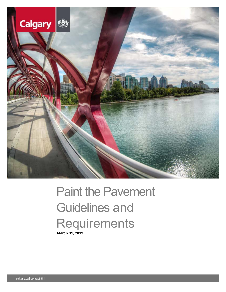

# Paint the Pavement Guidelines and **Requirements March 31, 2019**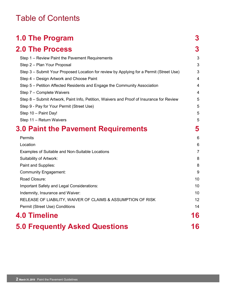### Table of Contents

| <b>1.0 The Program</b>                                                                   | 3              |
|------------------------------------------------------------------------------------------|----------------|
| <b>2.0 The Process</b>                                                                   | 3              |
| Step 1 – Review Paint the Pavement Requirements                                          | 3              |
| Step 2 - Plan Your Proposal                                                              | 3              |
| Step 3 – Submit Your Proposed Location for review by Applying for a Permit (Street Use)  | 3              |
| Step 4 - Design Artwork and Choose Paint                                                 | $\overline{4}$ |
| Step 5 – Petition Affected Residents and Engage the Community Association                | 4              |
| Step 7 - Complete Waivers                                                                | 4              |
| Step 8 – Submit Artwork, Paint Info, Petition, Waivers and Proof of Insurance for Review | 5              |
| Step 9 - Pay for Your Permit (Street Use)                                                | 5              |
| Step 10 - Paint Day!                                                                     | 5              |
| Step 11 - Return Waivers                                                                 | 5              |
| 3.0 Paint the Pavement Requirements                                                      | 5              |
| Permits                                                                                  | 6              |
| Location                                                                                 | 6              |
| Examples of Suitable and Non-Suitable Locations                                          | $\overline{7}$ |
| <b>Suitability of Artwork:</b>                                                           | 8              |
| Paint and Supplies:                                                                      | 8              |
| <b>Community Engagement:</b>                                                             | 9              |
| Road Closure:                                                                            | 10             |
| Important Safety and Legal Considerations:                                               | 10             |
| Indemnity, Insurance and Waiver:                                                         | 10             |
| RELEASE OF LIABILITY, WAIVER OF CLAIMS & ASSUMPTION OF RISK                              | 12             |
| Permit (Street Use) Conditions                                                           | 14             |
| <b>4.0 Timeline</b>                                                                      | 16             |
| <b>5.0 Frequently Asked Questions</b>                                                    | 16             |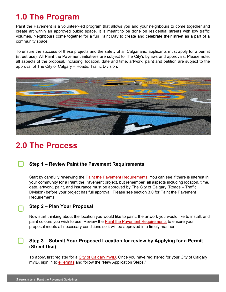## <span id="page-2-0"></span>**1.0 The Program**

Paint the Pavement is a volunteer-led program that allows you and your neighbours to come together and create art within an approved public space. It is meant to be done on residential streets with low traffic volumes. Neighbours come together for a fun Paint Day to create and celebrate their street as a part of a community space.

To ensure the success of these projects and the safety of all Calgarians, applicants must apply for a permit (street use). All Paint the Pavement initiatives are subject to The City's bylaws and approvals. Please note, all aspects of the proposal, including: location, date and time, artwork, paint and petition are subject to the approval of The City of Calgary – Roads, Traffic Division.



### <span id="page-2-1"></span>**2.0 The Process**

#### <span id="page-2-2"></span>**Step 1 – Review Paint the Pavement Requirements**

Start by carefully reviewing the [Paint the Pavement Requirements.](#page-4-4) You can see if there is interest in your community for a Paint the Pavement project, but remember, all aspects including location, time, date, artwork, paint, and insurance must be approved by The City of Calgary (Roads – Traffic Division) before your project has full approval. Please see section 3.0 for Paint the Pavement Requirements.

#### <span id="page-2-3"></span>**Step 2 – Plan Your Proposal**

Now start thinking about the location you would like to paint, the artwork you would like to install, and paint colours you wish to use. Review the [Paint the Pavement Requirements](#page-4-4) to ensure your proposal meets all necessary conditions so it will be approved in a timely manner.

#### <span id="page-2-4"></span>**Step 3 – Submit Your Proposed Location for review by Applying for a Permit (Street Use)**

To apply, first register for a [City of Calgary myID.](https://myid.calgary.ca/idm/Citizen_Registration.aspx) Once you have registered for your City of Calgary myID, sign in to [ePermits](https://epermits.calgary.ca/Public/Login.aspx?ReturnUrl=%2f) and follow the "New Application Steps."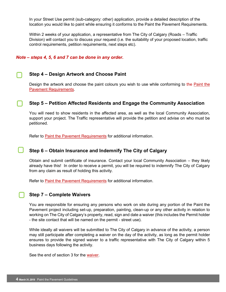In your Street Use permit (sub-category: other) application, provide a detailed description of the location you would like to paint while ensuring it conforms to the Paint the Pavement Requirements.

Within 2 weeks of your application, a representative from The City of Calgary (Roads – Traffic Division) will contact you to discuss your request (i.e. the suitability of your proposed location, traffic control requirements, petition requirements, next steps etc).

#### *Note – steps 4, 5, 6 and 7 can be done in any order.*

#### <span id="page-3-0"></span>**Step 4 – Design Artwork and Choose Paint**

Design the artwork and choose the paint colours you wish to use while conforming to the [Paint the](#page-4-4)  [Pavement Requirements.](#page-4-4)

#### <span id="page-3-1"></span>**Step 5 – Petition Affected Residents and Engage the Community Association**

You will need to show residents in the affected area, as well as the local Community Association, support your project. The Traffic representative will provide the petition and advise on who must be petitioned.

Refer to [Paint the Pavement Requirements](#page-4-4) for additional information.

#### **Step 6 – Obtain Insurance and Indemnify The City of Calgary**

Obtain and submit certificate of insurance. Contact your local Community Association – they likely already have this! In order to receive a permit, you will be required to indemnify The City of Calgary from any claim as result of holding this activity.

Refer to [Paint the Pavement Requirements](#page-4-4) for additional information.

#### <span id="page-3-2"></span>**Step 7 – Complete Waivers**

J

You are responsible for ensuring any persons who work on site during any portion of the Paint the Pavement project including set-up, preparation, painting, clean-up or any other activity in relation to working on The City of Calgary's property, read, sign and date a waiver (this includes the Permit holder - the site contact that will be named on the permit - street use).

While ideally all waivers will be submitted to The City of Calgary in advance of the activity, a person may still participate after completing a waiver on the day of the activity, as long as the permit holder ensures to provide the signed waiver to a traffic representative with The City of Calgary within 5 business days following the activity.

See the end of section 3 for the [waiver.](#page-11-0)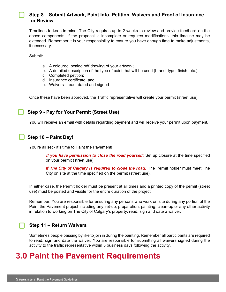#### <span id="page-4-0"></span>**Step 8 – Submit Artwork, Paint Info, Petition, Waivers and Proof of Insurance for Review**

Timelines to keep in mind: The City requires up to 2 weeks to review and provide feedback on the above components. If the proposal is incomplete or requires modifications, this timeline may be extended. Remember it is your responsibility to ensure you have enough time to make adjustments, if necessary.

Submit:

- a. A coloured, scaled pdf drawing of your artwork;
- b. A detailed description of the type of paint that will be used (brand, type, finish, etc.);
- c. Completed petition;
- d. Insurance certificate; and
- e. Waivers read, dated and signed

Once these have been approved, the Traffic representative will create your permit (street use).

#### <span id="page-4-1"></span>**Step 9 - Pay for Your Permit (Street Use)**

You will receive an email with details regarding payment and will receive your permit upon payment.

#### <span id="page-4-2"></span>**Step 10 – Paint Day!**

You're all set - it's time to Paint the Pavement!

*If you have permission to close the road yourself:* **Set up closure at the time specified** on your permit (street use).

If The City of Calgary is required to close the road: The Permit holder must meet The City on site at the time specified on the permit (street use).

In either case, the Permit holder must be present at all times and a printed copy of the permit (street use) must be posted and visible for the entire duration of the project.

Remember: You are responsible for ensuring any persons who work on site during any portion of the Paint the Pavement project including any set-up, preparation, painting, clean-up or any other activity in relation to working on The City of Calgary's property, read, sign and date a waiver.

#### <span id="page-4-3"></span>**Step 11 – Return Waivers**

<span id="page-4-4"></span>Sometimes people passing by like to join in during the painting. Remember all participants are required to read, sign and date the waiver. You are responsible for submitting all waivers signed during the activity to the traffic representative within 5 business days following the activity.

### **3.0 Paint the Pavement Requirements**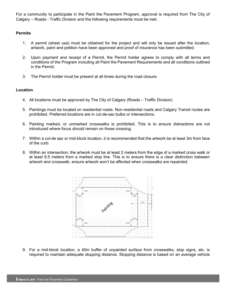For a community to participate in the Paint the Pavement Program, approval is required from The City of Calgary – Roads - Traffic Division and the following requirements must be met:

#### <span id="page-5-0"></span>**Permits**

- 1. A permit (street use) must be obtained for the project and will only be issued after the location, artwork, paint and petition have been approved and proof of insurance has been submitted.
- 2. Upon payment and receipt of a Permit, the Permit holder agrees to comply with all terms and conditions of the Program including all Paint the Pavement Requirements and all conditions outlined in the Permit.
- 3. The Permit holder must be present at all times during the road closure.

#### <span id="page-5-1"></span>**Location**

- 4. All locations must be approved by The City of Calgary (Roads Traffic Division)
- 5. Paintings must be located on residential roads. Non-residential roads and Calgary Transit routes are prohibited. Preferred locations are in cul-de-sac bulbs or intersections.
- 6. Painting marked, or unmarked crosswalks is prohibited. This is to ensure distractions are not introduced where focus should remain on those crossing.
- 7. Within a cul-de sac or mid-block location, it is recommended that the artwork be at least 3m from face of the curb.
- 8. Within an intersection, the artwork must be at least 2 meters from the edge of a marked cross walk or at least 6.5 meters from a marked stop line. This is to ensure there is a clear distinction between artwork and crosswalk, ensure artwork won't be affected when crosswalks are repainted.



9. For a mid-block location, a 40m buffer of unpainted surface from crosswalks, stop signs, etc. is required to maintain adequate stopping distance. Stopping distance is based on an average vehicle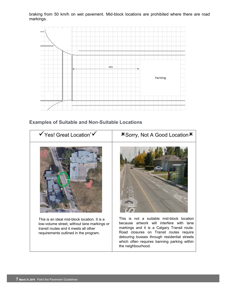braking from 50 km/h on wet pavement. Mid-block locations are prohibited where there are road markings.



#### <span id="page-6-0"></span> **Examples of Suitable and Non-Suitable Locations**

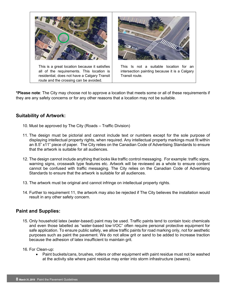

**\*Please note**: The City may choose not to approve a location that meets some or all of these requirements if they are any safety concerns or for any other reasons that a location may not be suitable.

#### <span id="page-7-0"></span>**Suitability of Artwork:**

- 10. Must be approved by The City (Roads Traffic Division)
- 11. The design must be pictorial and cannot include text or numbers except for the sole purpose of displaying intellectual property rights, when required. Any intellectual property markings must fit within an 8.5" x11" piece of paper. The City relies on the Canadian Code of Advertising Standards to ensure that the artwork is suitable for all audiences.
- 12. The design cannot include anything that looks like traffic control messaging. For example: traffic signs, warning signs, crosswalk type features etc. Artwork will be reviewed as a whole to ensure content cannot be confused with traffic messaging. The City relies on the Canadian Code of Advertising Standards to ensure that the artwork is suitable for all audiences.
- 13. The artwork must be original and cannot infringe on intellectual property rights.
- 14. Further to requirement 11, the artwork may also be rejected if The City believes the installation would result in any other safety concern.

#### <span id="page-7-1"></span>**Paint and Supplies:**

- 15. Only household latex (water-based) paint may be used. Traffic paints tend to contain toxic chemicals and even those labelled as "water-based low-VOC" often require personal protective equipment for safe application. To ensure public safety, we allow traffic paints for road marking only, not for aesthetic purposes such as paint the pavement. We do not allow grit or sand to be added to increase traction because the adhesion of latex insufficient to maintain grit.
- 16. For Clean-up:
	- Paint buckets/cans, brushes, rollers or other equipment with paint residue must not be washed at the activity site where paint residue may enter into storm infrastructure (sewers).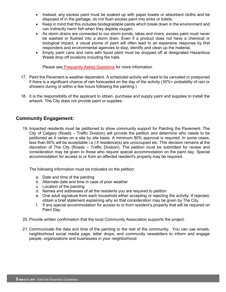- Instead, any excess paint must be soaked up with paper towels or absorbent cloths and be disposed of in the garbage, do not flush excess paint into sinks or toilets.
- Keep in mind that this includes biodegradable paints which break down in the environment and can indirectly harm fish when they deplete oxygen.
- As storm drains are connected to our storm ponds, lakes and rivers, excess paint must never be washed or flushed into a storm drain. Even if a product does not have a chemical or biological impact, a visual plume of paint will often lead to an expensive response by first responders and environmental agencies to stop, identify and clean up the material.
- Empty paint cans and cans with liquid paint must be dropped off at designated [Hazardous](http://www.calgary.ca/UEP/WRS/Pages/Garbage-collection-information/Residential-services/Household-chemical-drop-off-program/Materials-Accepted-at-Household-Hazardous-Waste-Drop-off-Locations.aspx)  [Waste drop off locations including fire halls.](http://www.calgary.ca/UEP/WRS/Pages/Garbage-collection-information/Residential-services/Household-chemical-drop-off-program/Materials-Accepted-at-Household-Hazardous-Waste-Drop-off-Locations.aspx)

Please see [Frequently Asked Questions](#page-15-1) for more information

- 17. Paint the Pavement is weather-dependent. A scheduled activity will need to be canceled or postponed if there is a significant chance of rain forecasted on the day of the activity (30%+ probability of rain or showers during or within a few hours following the painting.)
- 18. It is the responsibility of the applicant to obtain, purchase and supply paint and supplies to install the artwork. The City does not provide paint or supplies.

#### <span id="page-8-0"></span>**Community Engagement:**

19. Impacted residents must be petitioned to show community support for Painting the Pavement. The City of Calgary (Roads – Traffic Division) will provide the petition and determine who needs to be petitioned as it varies on a site by site basis. A minimum 80% approval is required. In some cases, less than 80% will be acceptable i.e.) if residence(s) are unoccupied etc. This decision remains at the discretion of The City (Roads – Traffic Division). The petition must be submitted for review and consideration may be given to those who require special accommodation on the paint day. Special accommodation for access to or from an affected resident's property may be required.

The following information must be indicated on the petition:

- a. Date and time of the painting
- b. Alternate date and time in case of poor weather
- c. Location of the painting
- d. Names and addresses of all the residents you are required to petition
- e. One adult signature from each household either accepting or rejecting the activity. If rejected, obtain a brief statement explaining why so that consideration may be given by The City.
- f. If any special accommodation for access to or from resident's property that will be required on Paint Day.
- 20. Provide written confirmation that the local Community Association supports the project.
- 21. Communicate the date and time of the painting to the rest of the community. You can use emails, neighborhood social media page, letter drops, and community newsletters to inform and engage people, organizations and businesses in your neighborhood.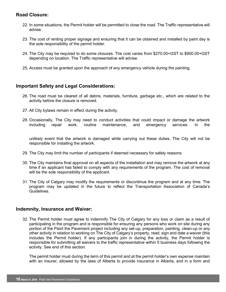#### <span id="page-9-0"></span>**Road Closure:**

- 22. In some situations, the Permit holder will be permitted to close the road. The Traffic representative will advise.
- 23. The cost of renting proper signage and ensuring that it can be obtained and installed by paint day is the sole responsibility of the permit holder.
- 24. The City may be required to do some closures. The cost varies from \$270.00+GST to \$900.00+GST depending on location. The Traffic representative will advise.
- 25. Access must be granted upon the approach of any emergency vehicle during the painting.

#### <span id="page-9-1"></span>**Important Safety and Legal Considerations:**

- 26. The road must be cleared of all debris, materials, furniture, garbage etc., which are related to the activity before the closure is removed.
- 27. All City bylaws remain in effect during the activity.
- 28. Occasionally, The City may need to conduct activities that could impact or damage the artwork including repair work, routine maintenance, and emergency services. In the

unlikely event that the artwork is damaged while carrying out these duties, The City will not be responsible for installing the artwork.

- 29. The City may limit the number of participants if deemed necessary for safety reasons.
- 30. The City maintains final approval on all aspects of the installation and may remove the artwork at any time if an applicant has failed to comply with any requirements of the program. The cost of removal will be the sole responsibility of the applicant.
- 31. The City of Calgary may modify the requirements or discontinue the program and at any time. The program may be updated in the future to reflect the Transportation Association of Canada's Guidelines.

#### <span id="page-9-2"></span>**Indemnity, Insurance and Waiver:**

32. The Permit holder must agree to indemnify The City of Calgary for any loss or claim as a result of participating in the program and is responsible for ensuring any persons who work on site during any portion of the Paint the Pavement project including any set-up, preparation, painting, clean-up or any other activity in relation to working on The City of Calgary's property, read, sign and date a waiver (this includes the Permit holder). If any participants join in during the activity, the Permit holder is responsible for submitting all waivers to the traffic representative within 5 business days following the activity. See end of this section.

The permit holder must during the term of this permit and at the permit holder's own expense maintain with an insurer, allowed by the laws of Alberta to provide insurance in Alberta, and in a form and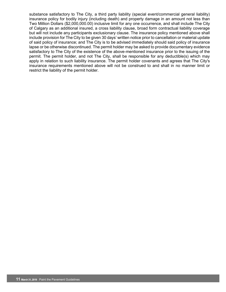substance satisfactory to The City, a third party liability (special event/commercial general liability) insurance policy for bodily injury (including death) and property damage in an amount not less than Two Million Dollars (\$2,000,000.00) inclusive limit for any one occurrence, and shall include The City of Calgary as an additional insured, a cross liability clause, broad form contractual liability coverage but will not include any participants exclusionary clause. The insurance policy mentioned above shall include provision for The City to be given 30 days' written notice prior to cancellation or material update of said policy of insurance; and The City is to be advised immediately should said policy of insurance lapse or be otherwise discontinued. The permit holder may be asked to provide documentary evidence satisfactory to The City of the existence of the above-mentioned insurance prior to the issuing of the permit. The permit holder, and not The City, shall be responsible for any deductible(s) which may apply in relation to such liability insurance. The permit holder covenants and agrees that The City's insurance requirements mentioned above will not be construed to and shall in no manner limit or restrict the liability of the permit holder.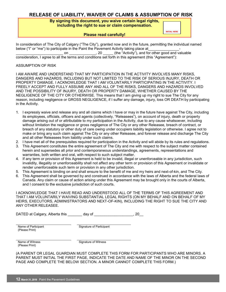#### <span id="page-11-0"></span>**RELEASE OF LIABILITY, WAIVER OF CLAIMS & ASSUMPTION OF RISK**

#### **By signing this document, you waive certain legal rights, including the right to sue or claim compensation.**

#### **Please read carefully!**

**INITIAL HERE**

In consideration of The City of Calgary ("The City"), granted now and in the future, permitting the individual named below ("I" or "me") to participate in the Paint the Pavement Activity taking place at\_\_\_\_\_\_\_\_\_\_\_\_\_\_\_- \_\_\_\_\_\_\_\_\_\_\_\_\_\_\_\_\_\_\_\_\_\_\_ on \_\_\_\_\_\_\_\_\_\_\_\_\_, 20 \_\_\_\_\_ (the "Activity"), and for other good and valuable **INITIAL HERE**

consideration, I agree to all the terms and conditions set forth in this agreement (this "Agreement"):

#### ASSUMPTION OF RISK

I AM AWARE AND UNDERSTAND THAT MY PARTICIPATION IN THE ACTIVITY INVOLVES MANY RISKS, DANGERS AND HAZARDS, INCLUDING BUT NOT LIMITED TO THE RISK OF SERIOUS INJURY, DEATH OR PROPERTY DAMAGE. I ACKNOWLEDGE THAT I AM VOLUNTARILY PARTICIPATING IN THE ACTIVITY. I FREELY ACCEPT AND FULLY ASSUME ANY AND ALL OF THE RISKS, DANGERS AND HAZARDS INVOLVED AND THE POSSIBILITY OF INJURY, DEATH OR PROPERTY DAMAGE, WHETHER CAUSED BY THE NEGLIGENCE OF THE CITY OR OTHERWISE. This means that I am giving up my right to sue The City for any reason, including negligence or GROSS NEGLIGENCE, if I suffer any damage, injury, loss OR DEATH by participating in the Activity.

- 1. I expressly waive and release any and all claims which I have or may in the future have against The City, including its employees, officials, officers and agents (collectively, "Releasees"), on account of injury, death or property damage arising out of or attributable to my participation in the Activity, due to any cause whatsoever, including without limitation the negligence or gross negligence of The City or any other Releasee, breach of contract, or breach of any statutory or other duty of care owing under occupiers liability legislation or otherwise. I agree not to make or bring any such claim against The City or any other Releasee, and forever release and discharge The City and all other Releasees from liability under such claims.
- 2. I have met all of the prerequisites required for participation in the Activity and will abide by its rules and regulations.
- 3. This Agreement constitutes the entire agreement of The City and me with respect to the subject matter contained herein and supersedes all prior and contemporaneous understandings, agreements, representations and warranties, both written and oral, with respect to such subject matter.
- 4. If any term or provision of this Agreement is held to be invalid, illegal or unenforceable in any jurisdiction, such invalidity, illegality or unenforceability shall not affect any other term or provision of this Agreement or invalidate or render unenforceable such term or provision in any other jurisdiction.
- 5. This Agreement is binding on and shall ensure to the benefit of me and my heirs and next-of-kin, and The City.
- 6. This Agreement shall be governed by and construed in accordance with the laws of Alberta and the federal laws of Canada. Any claim or cause of action arising under this Agreement may be brought only in the courts of Alberta, and I consent to the exclusive jurisdiction of such courts.

I ACKNOWLEDGE THAT I HAVE READ AND UNDERSTOOD ALL OF THE TERMS OF THIS AGREEMENT AND THAT I AM VOLUNTARILY WAIVING SUBSTANTIAL LEGAL RIGHTS (ON MY BEHALF AND ON BEHALF OF MY HEIRS, EXECUTORS, ADMINISTRATORS AND NEXT-OF-KIN), INCLUDING THE RIGHT TO SUE THE CITY AND ANY OTHER RELEASEE.

DATED at Calgary, Alberta this \_\_\_\_\_\_\_ day of \_\_\_\_\_\_\_\_\_\_\_\_\_\_\_\_\_\_, 20\_

Name of Participant (Please Print)

Signature of Participant

Name of Witness (Please Print)

Signature of Witness

(A PARENT OR LEGAL GUARDIAN MUST COMPLETE THIS FORM FOR PARTICIPANTS WHO ARE MINORS. A PARENT MUST INITIAL THE FIRST PAGE, INDICATE THE DATE AND NAME OF THE MINOR ON THE SECOND PAGE AND COMPLETE THE BELOW SECTION. A MINOR CANNOT COMPLETE THIS FORM.)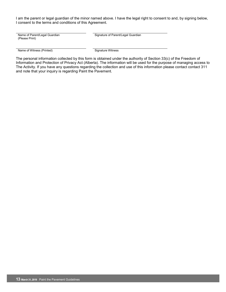I am the parent or legal guardian of the minor named above. I have the legal right to consent to and, by signing below, I consent to the terms and conditions of this Agreement.

Name of Parent/Legal Guardian (Please Print)

Signature of Parent/Legal Guardian

Name of Witness (Printed) Signature Witness

The personal information collected by this form is obtained under the authority of Section 33(c) of the Freedom of Information and Protection of Privacy Act (Alberta). The information will be used for the purpose of managing access to The Activity. If you have any questions regarding the collection and use of this information please contact contact 311 and note that your inquiry is regarding Paint the Pavement.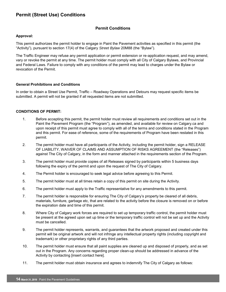### <span id="page-13-0"></span>**Permit (Street Use) Conditions**

#### **Permit Conditions**

#### **Approval:**

This permit authorizes the permit holder to engage in Paint the Pavement activities as specified in this permit (the "Activity"), pursuant to section 17(4) of the Calgary *Street Bylaw* 20M88 (the "Bylaw").

The Traffic Engineer may refuse any permit application or permit extension or re-application request, and may amend, vary or revoke the permit at any time. The permit holder must comply with all City of Calgary Bylaws, and Provincial and Federal Laws. Failure to comply with any conditions of the permit may lead to charges under the Bylaw or revocation of the Permit.

#### **General Prohibitions and Conditions**

In order to obtain a Street Use Permit, Traffic – Roadway Operations and Detours may request specific items be submitted. A permit will not be granted if all requested items are not submitted.

#### **CONDITIONS OF PERMIT:**

- 1. Before accepting this permit, the permit holder must review all requirements and conditions set out in the Paint the Pavement Program (the "Program"), as amended, and available for review on Calgary.ca and upon receipt of this permit must agree to comply with all of the terms and conditions stated in the Program and this permit. For ease of reference, some of the requirements of Program have been restated in this permit.
- 2. The permit holder must have all participants of the Activity, including the permit holder, sign a RELEASE OF LIABILITY, WAIVER OF CLAIMS AND ASSUMPTION OF RISKS AGREEMENT (the "Releases") against The City of Calgary, in the form and manner attached in the requirements section of the Program.
- 3. The permit holder must provide copies of all Releases signed by participants within 5 business days following the expiry of the permit and upon the request of The City of Calgary.
- 4. The Permit holder is encouraged to seek legal advice before agreeing to this Permit.
- 5. The permit holder must at all times retain a copy of this permit on site during the Activity.
- 6. The permit holder must apply to the Traffic representative for any amendments to this permit.
- 7. The permit holder is responsible for ensuring The City of Calgary's property be cleared of all debris, materials, furniture, garbage etc, that are related to the activity before the closure is removed on or before the expiration date and time of this permit.
- 8. Where City of Calgary work forces are required to set up temporary traffic control, the permit holder must be present at the agreed upon set up time or the temporary traffic control will not be set up and the Activity must be cancelled.
- 9. The permit holder represents, warrants, and guarantees that the artwork proposed and created under this permit will be original artwork and will not infringe any intellectual property rights (including copyright and trademark) or other proprietary rights of any third parties.
- 10. The permit holder must ensure that all paint supplies are cleaned up and disposed of properly, and as set out in the Program. Any concerns regarding proper clean-up should be addressed in advance of the Activity by contacting [insert contact here].
- 11. The permit holder must obtain insurance and agrees to indemnify The City of Calgary as follows: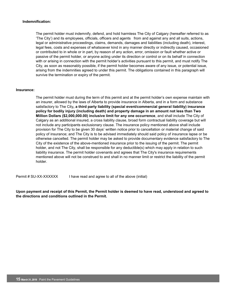#### **Indemnification:**

The permit holder must indemnify, defend, and hold harmless The City of Calgary (hereafter referred to as 'The City') and its employees, officials, officers and agents from and against any and all suits, actions, legal or administrative proceedings, claims, demands, damages and liabilities (including death), interest, legal fees, costs and expenses of whatsoever kind in any manner directly or indirectly caused, occasioned or contributed to in whole or in part, by reason of any action, error, omission or fault whether active or passive of the permit holder, or anyone acting under its direction or control or on its behalf in connection with or arising in connection with the permit holder's activities pursuant to this permit, and must notify The City, as soon as reasonably possible, if the permit holder becomes aware of any issue, or potential issue, arising from the indemnities agreed to under this permit. The obligations contained in this paragraph will survive the termination or expiry of the permit.

#### **Insurance:**

The permit holder must during the term of this permit and at the permit holder's own expense maintain with an insurer, allowed by the laws of Alberta to provide insurance in Alberta, and in a form and substance satisfactory to The City**, a third party liability (special event/commercial general liability) insurance policy for bodily injury (including death) and property damage in an amount not less than Two Million Dollars (\$2,000,000.00) inclusive limit for any one occurrence**, and shall include The City of Calgary as an additional insured, a cross liability clause, broad form contractual liability coverage but will not include any participants exclusionary clause. The insurance policy mentioned above shall include provision for The City to be given 30 days' written notice prior to cancellation or material change of said policy of insurance; and The City is to be advised immediately should said policy of insurance lapse or be otherwise cancelled. The permit holder may be asked to provide documentary evidence satisfactory to The City of the existence of the above-mentioned insurance prior to the issuing of the permit. The permit holder, and not The City, shall be responsible for any deductible(s) which may apply in relation to such liability insurance. The permit holder covenants and agrees that The City's insurance requirements mentioned above will not be construed to and shall in no manner limit or restrict the liability of the permit holder.

Permit # SU-XX-XXXXXX I have read and agree to all of the above (initial)

**Upon payment and receipt of this Permit, the Permit holder is deemed to have read, understood and agreed to the directions and conditions outlined in the Permit.**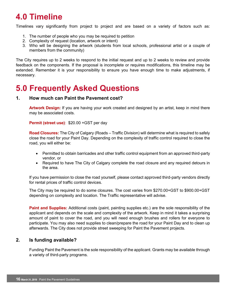### <span id="page-15-0"></span>**4.0 Timeline**

Timelines vary significantly from project to project and are based on a variety of factors such as:

- 1. The number of people who you may be required to petition
- 2. Complexity of request (location, artwork or intent)
- 3. Who will be designing the artwork (students from local schools, professional artist or a couple of members from the community)

The City requires up to 2 weeks to respond to the initial request and up to 2 weeks to review and provide feedback on the components. If the proposal is incomplete or requires modifications, this timeline may be extended. Remember it is your responsibility to ensure you have enough time to make adjustments, if necessary.

### <span id="page-15-1"></span>**5.0 Frequently Asked Questions**

#### **1. How much can Paint the Pavement cost?**

**Artwork Design:** If you are having your work created and designed by an artist, keep in mind there may be associated costs.

**Permit (street use)**: \$20.00 +GST per day

**Road Closures:** The City of Calgary (Roads – Traffic Division) will determine what is required to safely close the road for your Paint Day. Depending on the complexity of traffic control required to close the road, you will either be:

- Permitted to obtain barricades and other traffic control equipment from an approved third-party vendor, or
- Required to have The City of Calgary complete the road closure and any required detours in the area.

If you have permission to close the road yourself, please contact approved third-party vendors directly for rental prices of traffic control devices.

The City may be required to do some closures. The cost varies from \$270.00+GST to \$900.00+GST depending on complexity and location. The Traffic representative will advise.

**Paint and Supplies:** Additional costs (paint, painting supplies etc.) are the sole responsibility of the applicant and depends on the scale and complexity of the artwork. Keep in mind it takes a surprising amount of paint to cover the road, and you will need enough brushes and rollers for everyone to participate. You may also need supplies to clean/prepare the road for your Paint Day and to clean up afterwards. The City does not provide street sweeping for Paint the Pavement projects.

#### **2. Is funding available?**

Funding Paint the Pavement is the sole responsibility of the applicant. Grants may be available through a variety of third-party programs.